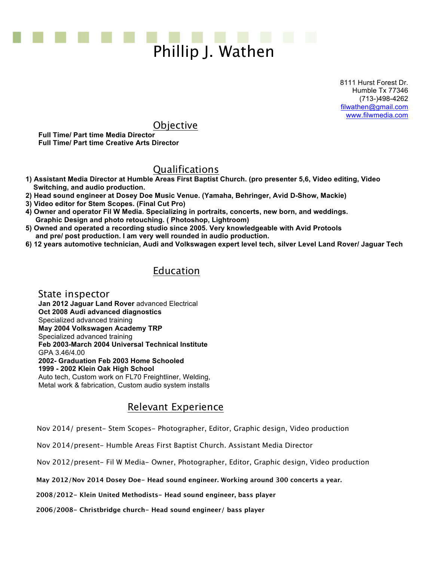

8111 Hurst Forest Dr. Humble Tx 77346 (713-)498-4262 filwathen@gmail.com www.filwmedia.com

## **Objective**

**Full Time/ Part time Media Director Full Time/ Part time Creative Arts Director** 

# Qualifications

- **1) Assistant Media Director at Humble Areas First Baptist Church. (pro presenter 5,6, Video editing, Video Switching, and audio production.**
- **2) Head sound engineer at Dosey Doe Music Venue. (Yamaha, Behringer, Avid D-Show, Mackie)**
- **3) Video editor for Stem Scopes. (Final Cut Pro)**
- **4) Owner and operator Fil W Media. Specializing in portraits, concerts, new born, and weddings. Graphic Design and photo retouching. ( Photoshop, Lightroom)**
- **5) Owned and operated a recording studio since 2005. Very knowledgeable with Avid Protools and pre/ post production. I am very well rounded in audio production.**
- **6) 12 years automotive technician, Audi and Volkswagen expert level tech, silver Level Land Rover/ Jaguar Tech**

## Education

 State inspector **Jan 2012 Jaguar Land Rover** advanced Electrical **Oct 2008 Audi advanced diagnostics**  Specialized advanced training **May 2004 Volkswagen Academy TRP** Specialized advanced training **Feb 2003-March 2004 Universal Technical Institute**  GPA 3.46/4.00 **2002- Graduation Feb 2003 Home Schooled 1999 - 2002 Klein Oak High School**  Auto tech, Custom work on FL70 Freightliner, Welding, Metal work & fabrication, Custom audio system installs

### Relevant Experience

Nov 2014/ present- Stem Scopes- Photographer, Editor, Graphic design, Video production

Nov 2014/present- Humble Areas First Baptist Church. Assistant Media Director

Nov 2012/present- Fil W Media- Owner, Photographer, Editor, Graphic design, Video production

**May 2012/Nov 2014 Dosey Doe- Head sound engineer. Working around 300 concerts a year.**

 **2008/2012- Klein United Methodists- Head sound engineer, bass player**

 **2006/2008- Christbridge church- Head sound engineer/ bass player**